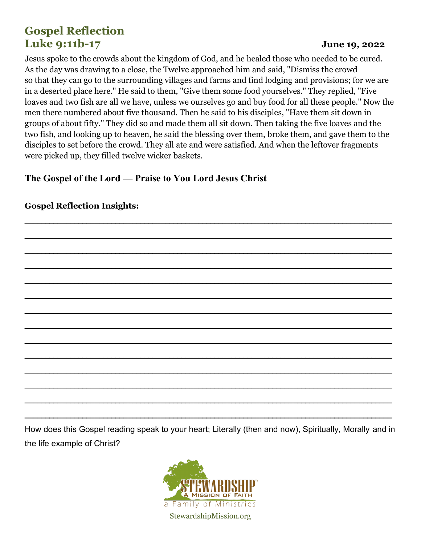# **Gospel Reflection Luke 9:11b-17 June 19, 2022**

Jesus spoke to the crowds about the kingdom of God, and he healed those who needed to be cured. As the day was drawing to a close, the Twelve approached him and said, "Dismiss the crowd so that they can go to the surrounding villages and farms and find lodging and provisions; for we are in a deserted place here." He said to them, "Give them some food yourselves." They replied, "Five loaves and two fish are all we have, unless we ourselves go and buy food for all these people." Now the men there numbered about five thousand. Then he said to his disciples, "Have them sit down in groups of about fifty." They did so and made them all sit down. Then taking the five loaves and the two fish, and looking up to heaven, he said the blessing over them, broke them, and gave them to the disciples to set before the crowd. They all ate and were satisfied. And when the leftover fragments were picked up, they filled twelve wicker baskets.

### **The Gospel of the Lord — Praise to You Lord Jesus Christ**

# \_\_\_\_\_\_\_\_\_\_\_\_\_\_\_\_\_\_\_\_\_\_\_\_\_\_\_\_\_\_\_\_\_\_\_\_\_\_\_\_\_\_\_\_\_\_\_\_\_\_\_\_\_\_\_\_\_\_\_\_\_\_\_\_\_\_\_\_\_\_\_\_\_\_\_\_\_\_\_\_\_\_\_\_\_\_\_\_\_ \_\_\_\_\_\_\_\_\_\_\_\_\_\_\_\_\_\_\_\_\_\_\_\_\_\_\_\_\_\_\_\_\_\_\_\_\_\_\_\_\_\_\_\_\_\_\_\_\_\_\_\_\_\_\_\_\_\_\_\_\_\_\_\_\_\_\_\_\_\_\_\_\_\_\_\_\_\_\_\_\_\_\_\_\_\_\_\_\_ \_\_\_\_\_\_\_\_\_\_\_\_\_\_\_\_\_\_\_\_\_\_\_\_\_\_\_\_\_\_\_\_\_\_\_\_\_\_\_\_\_\_\_\_\_\_\_\_\_\_\_\_\_\_\_\_\_\_\_\_\_\_\_\_\_\_\_\_\_\_\_\_\_\_\_\_\_\_\_\_\_\_\_\_\_\_\_\_\_ \_\_\_\_\_\_\_\_\_\_\_\_\_\_\_\_\_\_\_\_\_\_\_\_\_\_\_\_\_\_\_\_\_\_\_\_\_\_\_\_\_\_\_\_\_\_\_\_\_\_\_\_\_\_\_\_\_\_\_\_\_\_\_\_\_\_\_\_\_\_\_\_\_\_\_\_\_\_\_\_\_\_\_\_\_\_\_\_\_ \_\_\_\_\_\_\_\_\_\_\_\_\_\_\_\_\_\_\_\_\_\_\_\_\_\_\_\_\_\_\_\_\_\_\_\_\_\_\_\_\_\_\_\_\_\_\_\_\_\_\_\_\_\_\_\_\_\_\_\_\_\_\_\_\_\_\_\_\_\_\_\_\_\_\_\_\_\_\_\_\_\_\_\_\_\_\_\_\_ \_\_\_\_\_\_\_\_\_\_\_\_\_\_\_\_\_\_\_\_\_\_\_\_\_\_\_\_\_\_\_\_\_\_\_\_\_\_\_\_\_\_\_\_\_\_\_\_\_\_\_\_\_\_\_\_\_\_\_\_\_\_\_\_\_\_\_\_\_\_\_\_\_\_\_\_\_\_\_\_\_\_\_\_\_\_\_\_\_ \_\_\_\_\_\_\_\_\_\_\_\_\_\_\_\_\_\_\_\_\_\_\_\_\_\_\_\_\_\_\_\_\_\_\_\_\_\_\_\_\_\_\_\_\_\_\_\_\_\_\_\_\_\_\_\_\_\_\_\_\_\_\_\_\_\_\_\_\_\_\_\_\_\_\_\_\_\_\_\_\_\_\_\_\_\_\_\_\_ \_\_\_\_\_\_\_\_\_\_\_\_\_\_\_\_\_\_\_\_\_\_\_\_\_\_\_\_\_\_\_\_\_\_\_\_\_\_\_\_\_\_\_\_\_\_\_\_\_\_\_\_\_\_\_\_\_\_\_\_\_\_\_\_\_\_\_\_\_\_\_\_\_\_\_\_\_\_\_\_\_\_\_\_\_\_\_\_\_ \_\_\_\_\_\_\_\_\_\_\_\_\_\_\_\_\_\_\_\_\_\_\_\_\_\_\_\_\_\_\_\_\_\_\_\_\_\_\_\_\_\_\_\_\_\_\_\_\_\_\_\_\_\_\_\_\_\_\_\_\_\_\_\_\_\_\_\_\_\_\_\_\_\_\_\_\_\_\_\_\_\_\_\_\_\_\_\_\_ \_\_\_\_\_\_\_\_\_\_\_\_\_\_\_\_\_\_\_\_\_\_\_\_\_\_\_\_\_\_\_\_\_\_\_\_\_\_\_\_\_\_\_\_\_\_\_\_\_\_\_\_\_\_\_\_\_\_\_\_\_\_\_\_\_\_\_\_\_\_\_\_\_\_\_\_\_\_\_\_\_\_\_\_\_\_\_\_\_ \_\_\_\_\_\_\_\_\_\_\_\_\_\_\_\_\_\_\_\_\_\_\_\_\_\_\_\_\_\_\_\_\_\_\_\_\_\_\_\_\_\_\_\_\_\_\_\_\_\_\_\_\_\_\_\_\_\_\_\_\_\_\_\_\_\_\_\_\_\_\_\_\_\_\_\_\_\_\_\_\_\_\_\_\_\_\_\_\_ \_\_\_\_\_\_\_\_\_\_\_\_\_\_\_\_\_\_\_\_\_\_\_\_\_\_\_\_\_\_\_\_\_\_\_\_\_\_\_\_\_\_\_\_\_\_\_\_\_\_\_\_\_\_\_\_\_\_\_\_\_\_\_\_\_\_\_\_\_\_\_\_\_\_\_\_\_\_\_\_\_\_\_\_\_\_\_\_\_ \_\_\_\_\_\_\_\_\_\_\_\_\_\_\_\_\_\_\_\_\_\_\_\_\_\_\_\_\_\_\_\_\_\_\_\_\_\_\_\_\_\_\_\_\_\_\_\_\_\_\_\_\_\_\_\_\_\_\_\_\_\_\_\_\_\_\_\_\_\_\_\_\_\_\_\_\_\_\_\_\_\_\_\_\_\_\_\_\_

#### **Gospel Reflection Insights:**

How does this Gospel reading speak to your heart; Literally (then and now), Spiritually, Morally and in the life example of Christ?

\_\_\_\_\_\_\_\_\_\_\_\_\_\_\_\_\_\_\_\_\_\_\_\_\_\_\_\_\_\_\_\_\_\_\_\_\_\_\_\_\_\_\_\_\_\_\_\_\_\_\_\_\_\_\_\_\_\_\_\_\_\_\_\_\_\_\_\_\_\_\_\_\_\_\_\_\_\_\_\_\_\_\_\_\_\_\_\_\_